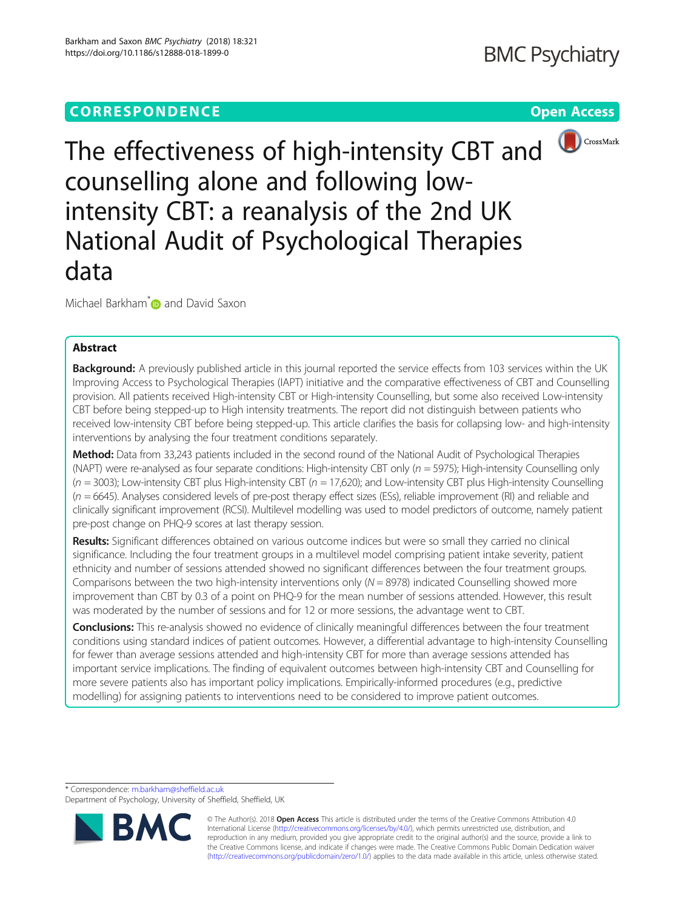

The effectiveness of high-intensity CBT and counselling alone and following lowintensity CBT: a reanalysis of the 2nd UK National Audit of Psychological Therapies data

Michael Barkham<sup>[\\*](http://orcid.org/0000-0003-1687-6376)</sup> and David Saxon

# Abstract

Background: A previously published article in this journal reported the service effects from 103 services within the UK Improving Access to Psychological Therapies (IAPT) initiative and the comparative effectiveness of CBT and Counselling provision. All patients received High-intensity CBT or High-intensity Counselling, but some also received Low-intensity CBT before being stepped-up to High intensity treatments. The report did not distinguish between patients who received low-intensity CBT before being stepped-up. This article clarifies the basis for collapsing low- and high-intensity interventions by analysing the four treatment conditions separately.

Method: Data from 33,243 patients included in the second round of the National Audit of Psychological Therapies (NAPT) were re-analysed as four separate conditions: High-intensity CBT only ( $n = 5975$ ); High-intensity Counselling only  $(n = 3003)$ ; Low-intensity CBT plus High-intensity CBT  $(n = 17,620)$ ; and Low-intensity CBT plus High-intensity Counselling  $(n = 6645)$ . Analyses considered levels of pre-post therapy effect sizes (ESs), reliable improvement (RI) and reliable and clinically significant improvement (RCSI). Multilevel modelling was used to model predictors of outcome, namely patient pre-post change on PHQ-9 scores at last therapy session.

Results: Significant differences obtained on various outcome indices but were so small they carried no clinical significance. Including the four treatment groups in a multilevel model comprising patient intake severity, patient ethnicity and number of sessions attended showed no significant differences between the four treatment groups. Comparisons between the two high-intensity interventions only  $(N = 8978)$  indicated Counselling showed more improvement than CBT by 0.3 of a point on PHQ-9 for the mean number of sessions attended. However, this result was moderated by the number of sessions and for 12 or more sessions, the advantage went to CBT.

Conclusions: This re-analysis showed no evidence of clinically meaningful differences between the four treatment conditions using standard indices of patient outcomes. However, a differential advantage to high-intensity Counselling for fewer than average sessions attended and high-intensity CBT for more than average sessions attended has important service implications. The finding of equivalent outcomes between high-intensity CBT and Counselling for more severe patients also has important policy implications. Empirically-informed procedures (e.g., predictive modelling) for assigning patients to interventions need to be considered to improve patient outcomes.

\* Correspondence: [m.barkham@sheffield.ac.uk](mailto:m.barkham@sheffield.ac.uk)

Department of Psychology, University of Sheffield, Sheffield, UK



© The Author(s). 2018 Open Access This article is distributed under the terms of the Creative Commons Attribution 4.0 International License [\(http://creativecommons.org/licenses/by/4.0/](http://creativecommons.org/licenses/by/4.0/)), which permits unrestricted use, distribution, and reproduction in any medium, provided you give appropriate credit to the original author(s) and the source, provide a link to the Creative Commons license, and indicate if changes were made. The Creative Commons Public Domain Dedication waiver [\(http://creativecommons.org/publicdomain/zero/1.0/](http://creativecommons.org/publicdomain/zero/1.0/)) applies to the data made available in this article, unless otherwise stated.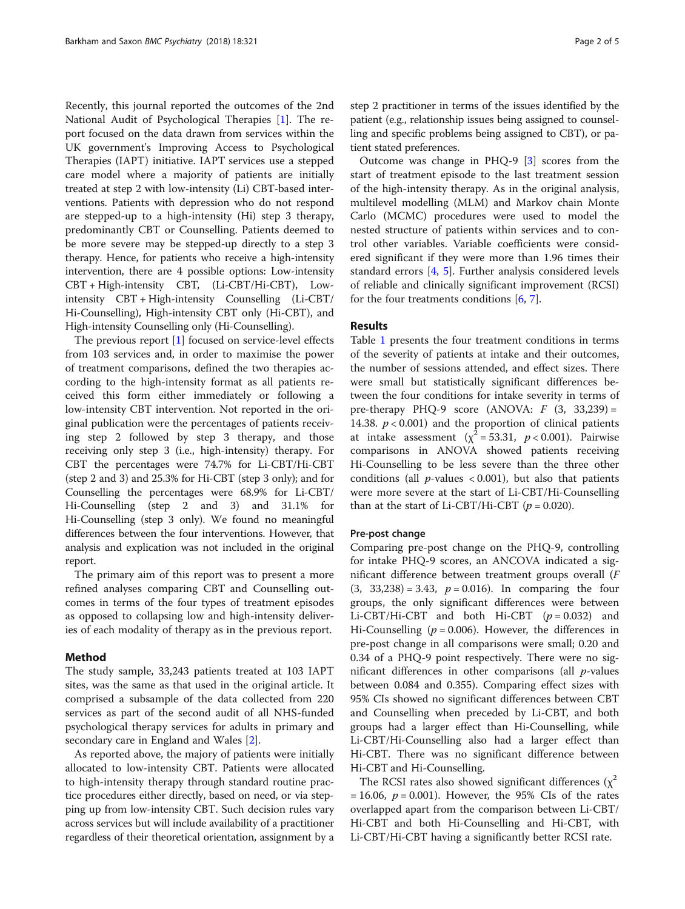Recently, this journal reported the outcomes of the 2nd National Audit of Psychological Therapies [\[1](#page-4-0)]. The report focused on the data drawn from services within the UK government's Improving Access to Psychological Therapies (IAPT) initiative. IAPT services use a stepped care model where a majority of patients are initially treated at step 2 with low-intensity (Li) CBT-based interventions. Patients with depression who do not respond are stepped-up to a high-intensity (Hi) step 3 therapy, predominantly CBT or Counselling. Patients deemed to be more severe may be stepped-up directly to a step 3 therapy. Hence, for patients who receive a high-intensity intervention, there are 4 possible options: Low-intensity CBT + High-intensity CBT, (Li-CBT/Hi-CBT), Lowintensity CBT + High-intensity Counselling (Li-CBT/ Hi-Counselling), High-intensity CBT only (Hi-CBT), and High-intensity Counselling only (Hi-Counselling).

The previous report [[1\]](#page-4-0) focused on service-level effects from 103 services and, in order to maximise the power of treatment comparisons, defined the two therapies according to the high-intensity format as all patients received this form either immediately or following a low-intensity CBT intervention. Not reported in the original publication were the percentages of patients receiving step 2 followed by step 3 therapy, and those receiving only step 3 (i.e., high-intensity) therapy. For CBT the percentages were 74.7% for Li-CBT/Hi-CBT (step 2 and 3) and 25.3% for Hi-CBT (step 3 only); and for Counselling the percentages were 68.9% for Li-CBT/ Hi-Counselling (step 2 and 3) and 31.1% for Hi-Counselling (step 3 only). We found no meaningful differences between the four interventions. However, that analysis and explication was not included in the original report.

The primary aim of this report was to present a more refined analyses comparing CBT and Counselling outcomes in terms of the four types of treatment episodes as opposed to collapsing low and high-intensity deliveries of each modality of therapy as in the previous report.

### Method

The study sample, 33,243 patients treated at 103 IAPT sites, was the same as that used in the original article. It comprised a subsample of the data collected from 220 services as part of the second audit of all NHS-funded psychological therapy services for adults in primary and secondary care in England and Wales [[2](#page-4-0)].

As reported above, the majory of patients were initially allocated to low-intensity CBT. Patients were allocated to high-intensity therapy through standard routine practice procedures either directly, based on need, or via stepping up from low-intensity CBT. Such decision rules vary across services but will include availability of a practitioner regardless of their theoretical orientation, assignment by a step 2 practitioner in terms of the issues identified by the patient (e.g., relationship issues being assigned to counselling and specific problems being assigned to CBT), or patient stated preferences.

Outcome was change in PHQ-9 [[3](#page-4-0)] scores from the start of treatment episode to the last treatment session of the high-intensity therapy. As in the original analysis, multilevel modelling (MLM) and Markov chain Monte Carlo (MCMC) procedures were used to model the nested structure of patients within services and to control other variables. Variable coefficients were considered significant if they were more than 1.96 times their standard errors [[4,](#page-4-0) [5](#page-4-0)]. Further analysis considered levels of reliable and clinically significant improvement (RCSI) for the four treatments conditions  $[6, 7]$  $[6, 7]$  $[6, 7]$  $[6, 7]$ .

# Results

Table [1](#page-2-0) presents the four treatment conditions in terms of the severity of patients at intake and their outcomes, the number of sessions attended, and effect sizes. There were small but statistically significant differences between the four conditions for intake severity in terms of pre-therapy PHQ-9 score (ANOVA:  $F$  (3, 33,239) = 14.38.  $p < 0.001$ ) and the proportion of clinical patients at intake assessment ( $\chi^2$  = 53.31,  $p < 0.001$ ). Pairwise comparisons in ANOVA showed patients receiving Hi-Counselling to be less severe than the three other conditions (all  $p$ -values < 0.001), but also that patients were more severe at the start of Li-CBT/Hi-Counselling than at the start of Li-CBT/Hi-CBT ( $p = 0.020$ ).

#### Pre-post change

Comparing pre-post change on the PHQ-9, controlling for intake PHQ-9 scores, an ANCOVA indicated a significant difference between treatment groups overall (F  $(3, 33,238) = 3.43, p = 0.016$ . In comparing the four groups, the only significant differences were between Li-CBT/Hi-CBT and both Hi-CBT  $(p = 0.032)$  and Hi-Counselling ( $p = 0.006$ ). However, the differences in pre-post change in all comparisons were small; 0.20 and 0.34 of a PHQ-9 point respectively. There were no significant differences in other comparisons (all  $p$ -values between 0.084 and 0.355). Comparing effect sizes with 95% CIs showed no significant differences between CBT and Counselling when preceded by Li-CBT, and both groups had a larger effect than Hi-Counselling, while Li-CBT/Hi-Counselling also had a larger effect than Hi-CBT. There was no significant difference between Hi-CBT and Hi-Counselling.

The RCSI rates also showed significant differences ( $\chi^2$  $= 16.06, p = 0.001$ . However, the 95% CIs of the rates overlapped apart from the comparison between Li-CBT/ Hi-CBT and both Hi-Counselling and Hi-CBT, with Li-CBT/Hi-CBT having a significantly better RCSI rate.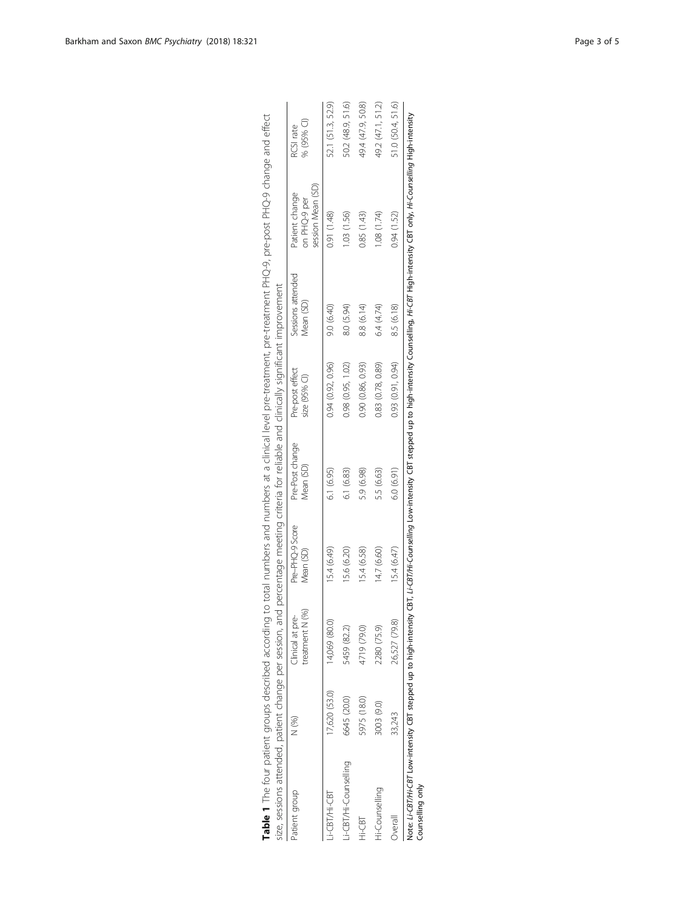<span id="page-2-0"></span>

| Patient group        | N (%)         | treatment N (%)<br>Clinical at pre- | Pre-PHQ-9 Score<br>Mean (SD) | Pre-Post change<br>Mean (SD) | Pre-post effect<br>size (95% CI) | Sessions attended<br>Mean (SD) | session Mean (SD)<br>Patient change<br>on PHQ-9 per | % (95% CI)<br>RCSI rate |
|----------------------|---------------|-------------------------------------|------------------------------|------------------------------|----------------------------------|--------------------------------|-----------------------------------------------------|-------------------------|
| i-CBT/Hi-CBT         | 17,620 (53.0) | 14,069 (80.0)                       | 15.4 (6.49)                  | 6.1(6.95)                    | 0.94 (0.92, 0.96)                | 9.0 (6.40)                     | 0.91 (1.48)                                         | 52.1 (51.3, 52.9)       |
| i-CBT/Hi-Counselling | 6645 (20.0)   | 5459 (82.2)                         | 15.6 (6.20)                  | 6.1 (6.83)                   | 0.98(0.95, 1.02)                 | 8.0 (5.94)                     | 1.03 (1.56)                                         | 50.2 (48.9, 51.6)       |
| Hi-CBT               | 5975 (18.0)   | 4719 (79.0)                         | 15.4 (6.58)                  | 5.9 (6.98)                   | 0.90 (0.86, 0.93)                | 8.8 (6.14)                     | 0.85 (1.43)                                         | 49.4 (47.9, 50.8)       |
| Hi-Counselling       | 3003 (9.0)    | 2280 (75.9)                         | 14.7 (6.60)                  | 5.5 (6.63)                   | 0.83(0.78, 0.89)                 | 6.4 (4.74)                     | 1.08 (1.74)                                         | 49.2 (47.1, 51.2)       |
| Overall              | 33,243        | 26,527 (79.8)                       | 15.4 (6.47)                  | 6.0(6.91)                    | 0.93 (0.91, 0.94)                | 8.5 (6.18)                     | 0.94(1.52)                                          | 51.0 (50.4, 51.6)       |

|                                                                                                                            |                                                                                        | RCSI rate         |
|----------------------------------------------------------------------------------------------------------------------------|----------------------------------------------------------------------------------------|-------------------|
|                                                                                                                            |                                                                                        | atient channe     |
| ling to total numbers and numbers at a clinical level pre-treatment, pre-treatment PHQ-9, pre-post PHQ-9 change and effect |                                                                                        | Sessions attended |
|                                                                                                                            |                                                                                        | Pre-not effect    |
|                                                                                                                            |                                                                                        | Pre-Post change   |
|                                                                                                                            | i, and percentage meeting criteria for reliable and clinically significant improvement | Pro-PHO-9 Score   |
| ١                                                                                                                          |                                                                                        | hre<br>'n         |
|                                                                                                                            | うろ りろろらり サミクチャミ てりてりり                                                                  | $\frac{1}{2}$     |
| able 1 The four patient arounce docation                                                                                   | j                                                                                      |                   |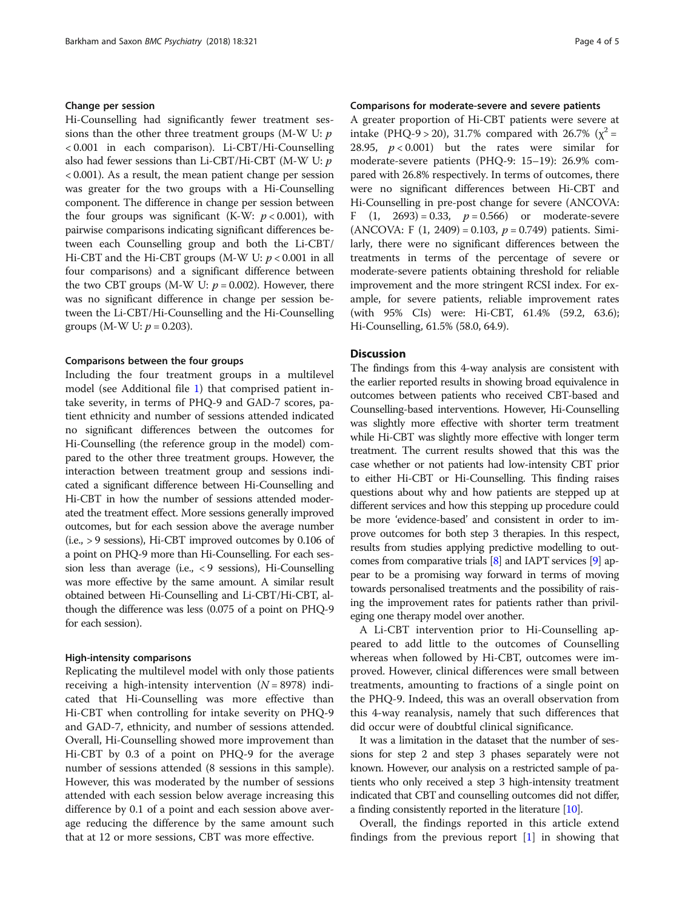#### Change per session

Hi-Counselling had significantly fewer treatment sessions than the other three treatment groups (M-W U:  $p$ ) < 0.001 in each comparison). Li-CBT/Hi-Counselling also had fewer sessions than Li-CBT/Hi-CBT (M-W U: p < 0.001). As a result, the mean patient change per session was greater for the two groups with a Hi-Counselling component. The difference in change per session between the four groups was significant (K-W:  $p < 0.001$ ), with pairwise comparisons indicating significant differences between each Counselling group and both the Li-CBT/ Hi-CBT and the Hi-CBT groups (M-W U:  $p < 0.001$  in all four comparisons) and a significant difference between the two CBT groups (M-W U:  $p = 0.002$ ). However, there was no significant difference in change per session between the Li-CBT/Hi-Counselling and the Hi-Counselling groups (M-W U:  $p = 0.203$ ).

#### Comparisons between the four groups

Including the four treatment groups in a multilevel model (see Additional file [1\)](#page-4-0) that comprised patient intake severity, in terms of PHQ-9 and GAD-7 scores, patient ethnicity and number of sessions attended indicated no significant differences between the outcomes for Hi-Counselling (the reference group in the model) compared to the other three treatment groups. However, the interaction between treatment group and sessions indicated a significant difference between Hi-Counselling and Hi-CBT in how the number of sessions attended moderated the treatment effect. More sessions generally improved outcomes, but for each session above the average number (i.e., > 9 sessions), Hi-CBT improved outcomes by 0.106 of a point on PHQ-9 more than Hi-Counselling. For each session less than average (i.e.,  $\langle 9 \rangle$  sessions), Hi-Counselling was more effective by the same amount. A similar result obtained between Hi-Counselling and Li-CBT/Hi-CBT, although the difference was less (0.075 of a point on PHQ-9 for each session).

#### High-intensity comparisons

Replicating the multilevel model with only those patients receiving a high-intensity intervention  $(N = 8978)$  indicated that Hi-Counselling was more effective than Hi-CBT when controlling for intake severity on PHQ-9 and GAD-7, ethnicity, and number of sessions attended. Overall, Hi-Counselling showed more improvement than Hi-CBT by 0.3 of a point on PHQ-9 for the average number of sessions attended (8 sessions in this sample). However, this was moderated by the number of sessions attended with each session below average increasing this difference by 0.1 of a point and each session above average reducing the difference by the same amount such that at 12 or more sessions, CBT was more effective.

## Comparisons for moderate-severe and severe patients

A greater proportion of Hi-CBT patients were severe at intake (PHQ-9 > 20), 31.7% compared with 26.7% ( $\chi^2$  = 28.95,  $p < 0.001$ ) but the rates were similar for moderate-severe patients (PHQ-9: 15–19): 26.9% compared with 26.8% respectively. In terms of outcomes, there were no significant differences between Hi-CBT and Hi-Counselling in pre-post change for severe (ANCOVA: F  $(1, 2693) = 0.33$ ,  $p = 0.566$  or moderate-severe (ANCOVA: F  $(1, 2409) = 0.103$ ,  $p = 0.749$ ) patients. Similarly, there were no significant differences between the treatments in terms of the percentage of severe or moderate-severe patients obtaining threshold for reliable improvement and the more stringent RCSI index. For example, for severe patients, reliable improvement rates (with 95% CIs) were: Hi-CBT, 61.4% (59.2, 63.6); Hi-Counselling, 61.5% (58.0, 64.9).

#### **Discussion**

The findings from this 4-way analysis are consistent with the earlier reported results in showing broad equivalence in outcomes between patients who received CBT-based and Counselling-based interventions. However, Hi-Counselling was slightly more effective with shorter term treatment while Hi-CBT was slightly more effective with longer term treatment. The current results showed that this was the case whether or not patients had low-intensity CBT prior to either Hi-CBT or Hi-Counselling. This finding raises questions about why and how patients are stepped up at different services and how this stepping up procedure could be more 'evidence-based' and consistent in order to improve outcomes for both step 3 therapies. In this respect, results from studies applying predictive modelling to outcomes from comparative trials [\[8\]](#page-4-0) and IAPT services [[9](#page-4-0)] appear to be a promising way forward in terms of moving towards personalised treatments and the possibility of raising the improvement rates for patients rather than privileging one therapy model over another.

A Li-CBT intervention prior to Hi-Counselling appeared to add little to the outcomes of Counselling whereas when followed by Hi-CBT, outcomes were improved. However, clinical differences were small between treatments, amounting to fractions of a single point on the PHQ-9. Indeed, this was an overall observation from this 4-way reanalysis, namely that such differences that did occur were of doubtful clinical significance.

It was a limitation in the dataset that the number of sessions for step 2 and step 3 phases separately were not known. However, our analysis on a restricted sample of patients who only received a step 3 high-intensity treatment indicated that CBT and counselling outcomes did not differ, a finding consistently reported in the literature [\[10\]](#page-4-0).

Overall, the findings reported in this article extend findings from the previous report  $[1]$  $[1]$  in showing that